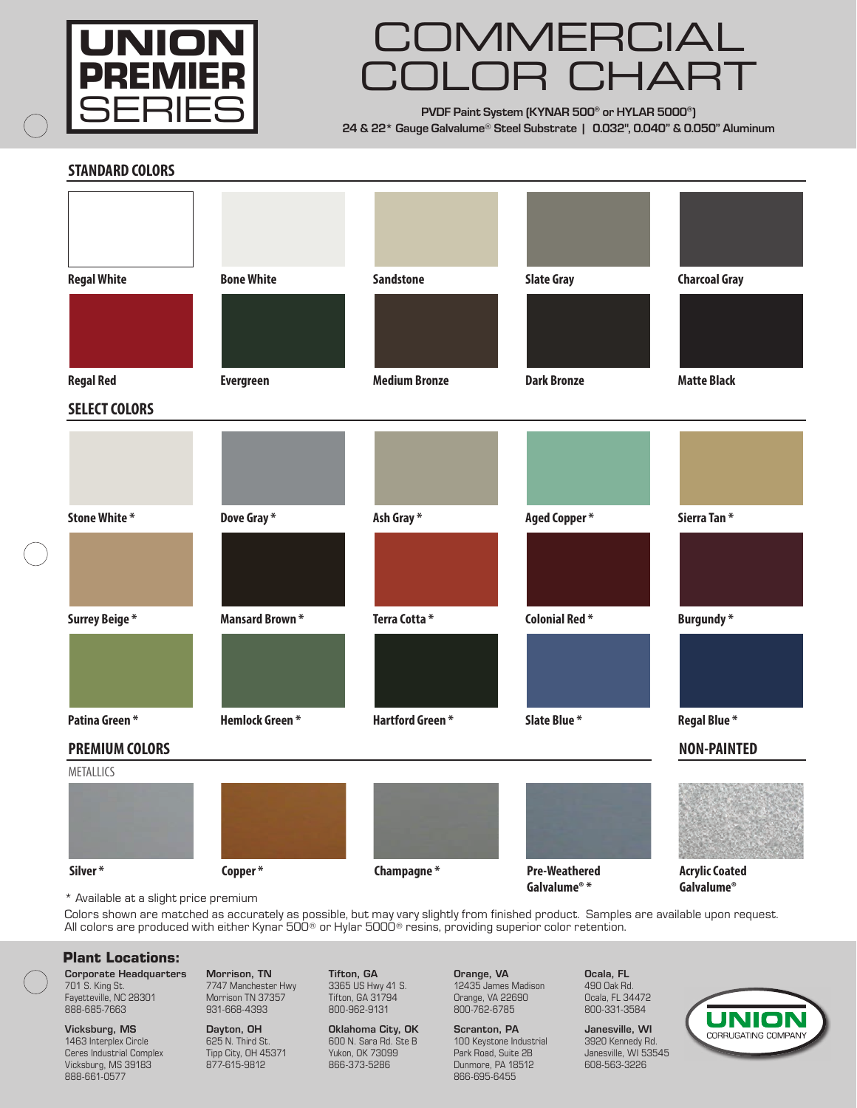

## MMERCIA COLOR CHART

**PVDF Paint System (KYNAR 500® or HYLAR 5000®) 24 & 22\* Gauge Galvalume**® **Steel Substrate | 0.032", 0.040" & 0.050" Aluminum**

 **STANDARD COLORS** 

| <b>Regal White</b>    | <b>Bone White</b>     | <b>Sandstone</b>       | <b>Slate Gray</b>    | <b>Charcoal Gray</b>  |
|-----------------------|-----------------------|------------------------|----------------------|-----------------------|
|                       |                       |                        |                      |                       |
| <b>Regal Red</b>      | <b>Evergreen</b>      | <b>Medium Bronze</b>   | <b>Dark Bronze</b>   | <b>Matte Black</b>    |
| <b>SELECT COLORS</b>  |                       |                        |                      |                       |
|                       |                       |                        |                      |                       |
|                       |                       |                        |                      |                       |
|                       |                       |                        |                      |                       |
| <b>Stone White *</b>  | Dove Gray*            | Ash Gray*              | <b>Aged Copper*</b>  | Sierra Tan*           |
|                       |                       |                        |                      |                       |
|                       |                       |                        |                      |                       |
| Surrey Beige*         | <b>Mansard Brown*</b> | Terra Cotta*           | <b>Colonial Red*</b> | <b>Burgundy*</b>      |
|                       |                       |                        |                      |                       |
|                       |                       |                        |                      |                       |
|                       |                       |                        |                      |                       |
| Patina Green*         | <b>Hemlock Green*</b> | <b>Hartford Green*</b> | Slate Blue *         | Regal Blue*           |
| <b>PREMIUM COLORS</b> |                       |                        |                      | <b>NON-PAINTED</b>    |
| METALLICS             |                       |                        |                      |                       |
|                       |                       |                        |                      |                       |
|                       |                       |                        |                      |                       |
|                       |                       |                        |                      |                       |
| Silver*               | Copper*               | Champagne*             | <b>Pre-Weathered</b> | <b>Acrylic Coated</b> |

\* Available at a slight price premium

Colors shown are matched as accurately as possible, but may vary slightly from finished product. Samples are available upon request. All colors are produced with either Kynar 500® or Hylar 5000® resins, providing superior color retention.

## **Plant Locations:**

Corporate Headquarters 701 S. King St. Fayetteville, NC 28301 888-685-7663

Vicksburg, MS 1463 Interplex Circle Ceres Industrial Complex Vicksburg, MS 39183 888-661-0577

Morrison, TN 7747 Manchester Hwy Morrison TN 37357 931-668-4393

Dayton, OH 625 N. Third St. Tipp City, OH 45371 877-615-9812

Tifton, GA 3365 US Hwy 41 S. Tifton, GA 31794 800-962-9131

Oklahoma City, OK 600 N. Sara Rd. Ste B Yukon, OK 73099 866-373-5286

Orange, VA 12435 James Madison Orange, VA 22690 800-762-6785

Scranton, PA 100 Keystone Industrial Park Road, Suite 2B Dunmore, PA 18512 866-695-6455

Ocala, FL 490 Oak Rd. Ocala, FL 34472 800-331-3584

Janesville, WI 3920 Kennedy Rd. Janesville, WI 53545 608-563-3226

**Galvalume® \* Galvalume®**